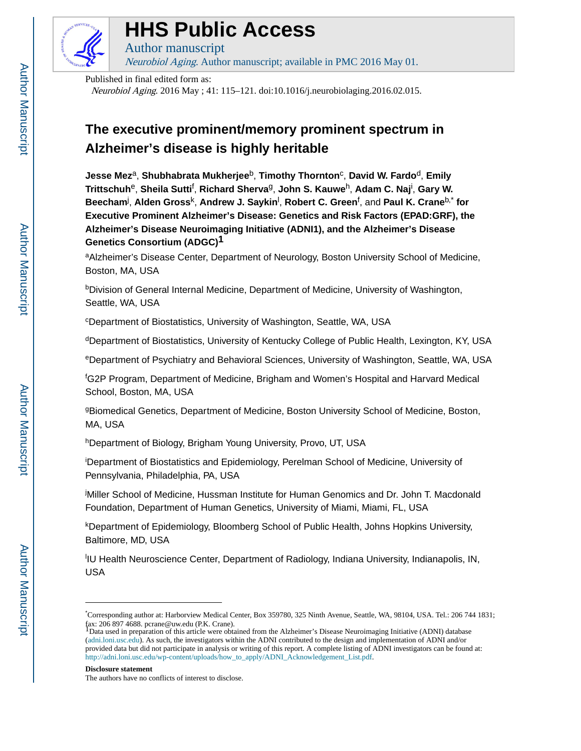

# **HHS Public Access**

Author manuscript Neurobiol Aging. Author manuscript; available in PMC 2016 May 01.

Published in final edited form as:

Neurobiol Aging. 2016 May ; 41: 115–121. doi:10.1016/j.neurobiolaging.2016.02.015.

# **The executive prominent/memory prominent spectrum in Alzheimer's disease is highly heritable**

**Jesse Mez**a, **Shubhabrata Mukherjee**b, **Timothy Thornton**<sup>c</sup> , **David W. Fardo**d, **Emily Trittschuh**e, **Sheila Sutti**<sup>f</sup> , **Richard Sherva**g, **John S. Kauwe**h, **Adam C. Naj**<sup>i</sup> , **Gary W. Beecham**<sup>j</sup> , **Alden Gross**<sup>k</sup> , **Andrew J. Saykin**<sup>l</sup> , **Robert C. Green**<sup>f</sup> , and **Paul K. Crane**b,\* **for Executive Prominent Alzheimer's Disease: Genetics and Risk Factors (EPAD:GRF), the Alzheimer's Disease Neuroimaging Initiative (ADNI1), and the Alzheimer's Disease Genetics Consortium (ADGC)1**

aAlzheimer's Disease Center, Department of Neurology, Boston University School of Medicine, Boston, MA, USA

**bDivision of General Internal Medicine, Department of Medicine, University of Washington,** Seattle, WA, USA

<sup>c</sup>Department of Biostatistics, University of Washington, Seattle, WA, USA

<sup>d</sup>Department of Biostatistics, University of Kentucky College of Public Health, Lexington, KY, USA

<sup>e</sup>Department of Psychiatry and Behavioral Sciences, University of Washington, Seattle, WA, USA

<sup>f</sup>G2P Program, Department of Medicine, Brigham and Women's Hospital and Harvard Medical School, Boston, MA, USA

**<sup>g</sup>Biomedical Genetics, Department of Medicine, Boston University School of Medicine, Boston,** MA, USA

hDepartment of Biology, Brigham Young University, Provo, UT, USA

<sup>i</sup>Department of Biostatistics and Epidemiology, Perelman School of Medicine, University of Pennsylvania, Philadelphia, PA, USA

<sup>j</sup>Miller School of Medicine, Hussman Institute for Human Genomics and Dr. John T. Macdonald Foundation, Department of Human Genetics, University of Miami, Miami, FL, USA

<sup>k</sup>Department of Epidemiology, Bloomberg School of Public Health, Johns Hopkins University, Baltimore, MD, USA

l IU Health Neuroscience Center, Department of Radiology, Indiana University, Indianapolis, IN, USA

**Disclosure statement** The authors have no conflicts of interest to disclose.

<sup>\*</sup>Corresponding author at: Harborview Medical Center, Box 359780, 325 Ninth Avenue, Seattle, WA, 98104, USA. Tel.: 206 744 1831; fax: 206 897 4688. pcrane@uw.edu (P.K. Crane).<br><sup>1</sup>Data used in preparation of this article were obtained from the Alzheimer's Disease Neuroimaging Initiative (ADNI) database

<sup>(</sup>[adni.loni.usc.edu](http://adni.loni.usc.edu)). As such, the investigators within the ADNI contributed to the design and implementation of ADNI and/or provided data but did not participate in analysis or writing of this report. A complete listing of ADNI investigators can be found at: [http://adni.loni.usc.edu/wp-content/uploads/how\\_to\\_apply/ADNI\\_Acknowledgement\\_List.pdf](http://adni.loni.usc.edu/wp-content/uploads/how_to_apply/ADNI_Acknowledgement_List.pdf).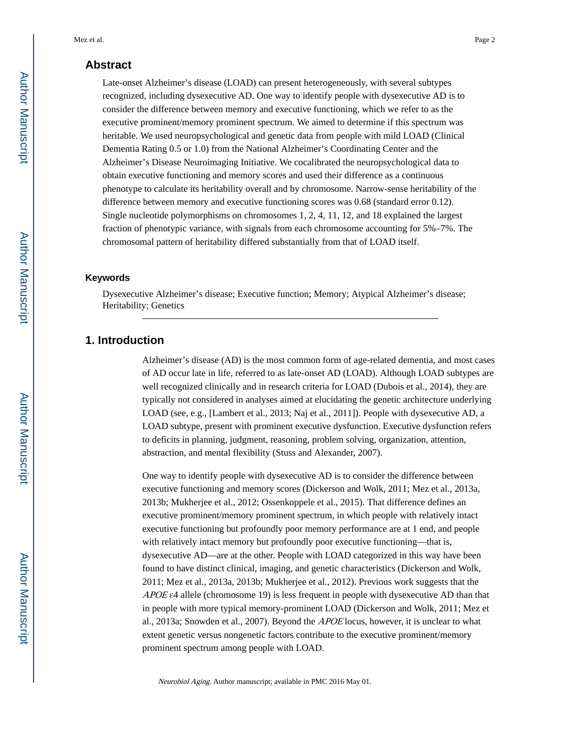# **Abstract**

Late-onset Alzheimer's disease (LOAD) can present heterogeneously, with several subtypes recognized, including dysexecutive AD. One way to identify people with dysexecutive AD is to consider the difference between memory and executive functioning, which we refer to as the executive prominent/memory prominent spectrum. We aimed to determine if this spectrum was heritable. We used neuropsychological and genetic data from people with mild LOAD (Clinical Dementia Rating 0.5 or 1.0) from the National Alzheimer's Coordinating Center and the Alzheimer's Disease Neuroimaging Initiative. We cocalibrated the neuropsychological data to obtain executive functioning and memory scores and used their difference as a continuous phenotype to calculate its heritability overall and by chromosome. Narrow-sense heritability of the difference between memory and executive functioning scores was 0.68 (standard error 0.12). Single nucleotide polymorphisms on chromosomes 1, 2, 4, 11, 12, and 18 explained the largest fraction of phenotypic variance, with signals from each chromosome accounting for 5%–7%. The chromosomal pattern of heritability differed substantially from that of LOAD itself.

#### **Keywords**

Dysexecutive Alzheimer's disease; Executive function; Memory; Atypical Alzheimer's disease; Heritability; Genetics

# **1. Introduction**

Alzheimer's disease (AD) is the most common form of age-related dementia, and most cases of AD occur late in life, referred to as late-onset AD (LOAD). Although LOAD subtypes are well recognized clinically and in research criteria for LOAD (Dubois et al., 2014), they are typically not considered in analyses aimed at elucidating the genetic architecture underlying LOAD (see, e.g., [Lambert et al., 2013; Naj et al., 2011]). People with dysexecutive AD, a LOAD subtype, present with prominent executive dysfunction. Executive dysfunction refers to deficits in planning, judgment, reasoning, problem solving, organization, attention, abstraction, and mental flexibility (Stuss and Alexander, 2007).

One way to identify people with dysexecutive AD is to consider the difference between executive functioning and memory scores (Dickerson and Wolk, 2011; Mez et al., 2013a, 2013b; Mukherjee et al., 2012; Ossenkoppele et al., 2015). That difference defines an executive prominent/memory prominent spectrum, in which people with relatively intact executive functioning but profoundly poor memory performance are at 1 end, and people with relatively intact memory but profoundly poor executive functioning—that is, dysexecutive AD—are at the other. People with LOAD categorized in this way have been found to have distinct clinical, imaging, and genetic characteristics (Dickerson and Wolk, 2011; Mez et al., 2013a, 2013b; Mukherjee et al., 2012). Previous work suggests that the  $APOE \epsilon 4$  allele (chromosome 19) is less frequent in people with dysexecutive AD than that in people with more typical memory-prominent LOAD (Dickerson and Wolk, 2011; Mez et al., 2013a; Snowden et al., 2007). Beyond the APOE locus, however, it is unclear to what extent genetic versus nongenetic factors contribute to the executive prominent/memory prominent spectrum among people with LOAD.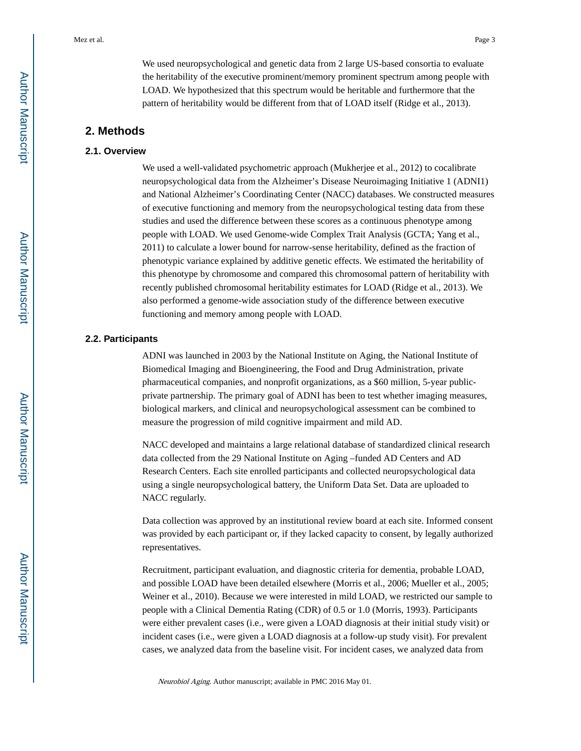We used neuropsychological and genetic data from 2 large US-based consortia to evaluate the heritability of the executive prominent/memory prominent spectrum among people with LOAD. We hypothesized that this spectrum would be heritable and furthermore that the pattern of heritability would be different from that of LOAD itself (Ridge et al., 2013).

# **2. Methods**

#### **2.1. Overview**

We used a well-validated psychometric approach (Mukherjee et al., 2012) to cocalibrate neuropsychological data from the Alzheimer's Disease Neuroimaging Initiative 1 (ADNI1) and National Alzheimer's Coordinating Center (NACC) databases. We constructed measures of executive functioning and memory from the neuropsychological testing data from these studies and used the difference between these scores as a continuous phenotype among people with LOAD. We used Genome-wide Complex Trait Analysis (GCTA; Yang et al., 2011) to calculate a lower bound for narrow-sense heritability, defined as the fraction of phenotypic variance explained by additive genetic effects. We estimated the heritability of this phenotype by chromosome and compared this chromosomal pattern of heritability with recently published chromosomal heritability estimates for LOAD (Ridge et al., 2013). We also performed a genome-wide association study of the difference between executive functioning and memory among people with LOAD.

### **2.2. Participants**

ADNI was launched in 2003 by the National Institute on Aging, the National Institute of Biomedical Imaging and Bioengineering, the Food and Drug Administration, private pharmaceutical companies, and nonprofit organizations, as a \$60 million, 5-year publicprivate partnership. The primary goal of ADNI has been to test whether imaging measures, biological markers, and clinical and neuropsychological assessment can be combined to measure the progression of mild cognitive impairment and mild AD.

NACC developed and maintains a large relational database of standardized clinical research data collected from the 29 National Institute on Aging –funded AD Centers and AD Research Centers. Each site enrolled participants and collected neuropsychological data using a single neuropsychological battery, the Uniform Data Set. Data are uploaded to NACC regularly.

Data collection was approved by an institutional review board at each site. Informed consent was provided by each participant or, if they lacked capacity to consent, by legally authorized representatives.

Recruitment, participant evaluation, and diagnostic criteria for dementia, probable LOAD, and possible LOAD have been detailed elsewhere (Morris et al., 2006; Mueller et al., 2005; Weiner et al., 2010). Because we were interested in mild LOAD, we restricted our sample to people with a Clinical Dementia Rating (CDR) of 0.5 or 1.0 (Morris, 1993). Participants were either prevalent cases (i.e., were given a LOAD diagnosis at their initial study visit) or incident cases (i.e., were given a LOAD diagnosis at a follow-up study visit). For prevalent cases, we analyzed data from the baseline visit. For incident cases, we analyzed data from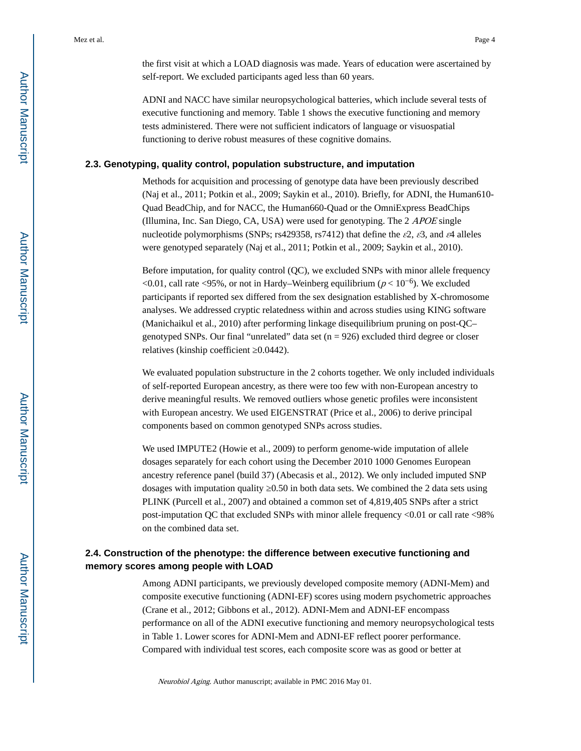the first visit at which a LOAD diagnosis was made. Years of education were ascertained by self-report. We excluded participants aged less than 60 years.

ADNI and NACC have similar neuropsychological batteries, which include several tests of executive functioning and memory. Table 1 shows the executive functioning and memory tests administered. There were not sufficient indicators of language or visuospatial functioning to derive robust measures of these cognitive domains.

#### **2.3. Genotyping, quality control, population substructure, and imputation**

Methods for acquisition and processing of genotype data have been previously described (Naj et al., 2011; Potkin et al., 2009; Saykin et al., 2010). Briefly, for ADNI, the Human610- Quad BeadChip, and for NACC, the Human660-Quad or the OmniExpress BeadChips (Illumina, Inc. San Diego, CA, USA) were used for genotyping. The 2 APOE single nucleotide polymorphisms (SNPs; rs429358, rs7412) that define the  $\epsilon$ 2,  $\epsilon$ 3, and  $\epsilon$ 4 alleles were genotyped separately (Naj et al., 2011; Potkin et al., 2009; Saykin et al., 2010).

Before imputation, for quality control (QC), we excluded SNPs with minor allele frequency <0.01, call rate <95%, or not in Hardy–Weinberg equilibrium ( $p < 10^{-6}$ ). We excluded participants if reported sex differed from the sex designation established by X-chromosome analyses. We addressed cryptic relatedness within and across studies using KING software (Manichaikul et al., 2010) after performing linkage disequilibrium pruning on post-QC– genotyped SNPs. Our final "unrelated" data set  $(n = 926)$  excluded third degree or closer relatives (kinship coefficient 0.0442).

We evaluated population substructure in the 2 cohorts together. We only included individuals of self-reported European ancestry, as there were too few with non-European ancestry to derive meaningful results. We removed outliers whose genetic profiles were inconsistent with European ancestry. We used EIGENSTRAT (Price et al., 2006) to derive principal components based on common genotyped SNPs across studies.

We used IMPUTE2 (Howie et al., 2009) to perform genome-wide imputation of allele dosages separately for each cohort using the December 2010 1000 Genomes European ancestry reference panel (build 37) (Abecasis et al., 2012). We only included imputed SNP dosages with imputation quality 0.50 in both data sets. We combined the 2 data sets using PLINK (Purcell et al., 2007) and obtained a common set of 4,819,405 SNPs after a strict post-imputation QC that excluded SNPs with minor allele frequency <0.01 or call rate <98% on the combined data set.

# **2.4. Construction of the phenotype: the difference between executive functioning and memory scores among people with LOAD**

Among ADNI participants, we previously developed composite memory (ADNI-Mem) and composite executive functioning (ADNI-EF) scores using modern psychometric approaches (Crane et al., 2012; Gibbons et al., 2012). ADNI-Mem and ADNI-EF encompass performance on all of the ADNI executive functioning and memory neuropsychological tests in Table 1. Lower scores for ADNI-Mem and ADNI-EF reflect poorer performance. Compared with individual test scores, each composite score was as good or better at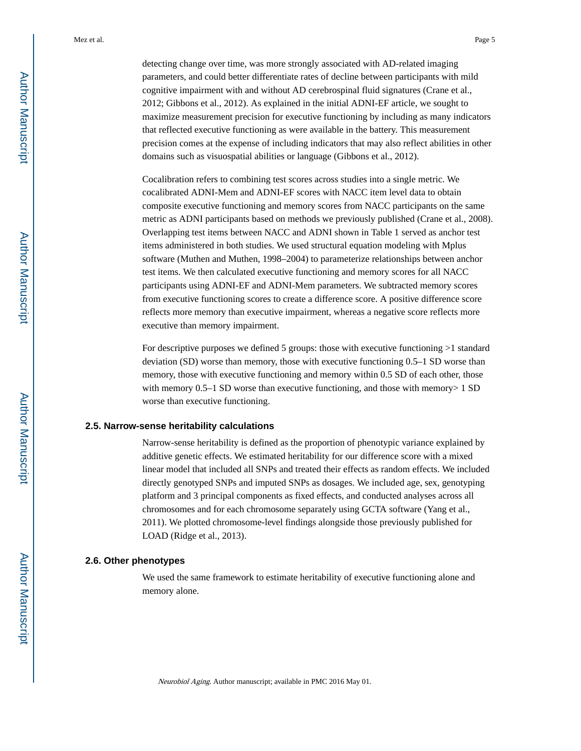detecting change over time, was more strongly associated with AD-related imaging parameters, and could better differentiate rates of decline between participants with mild cognitive impairment with and without AD cerebrospinal fluid signatures (Crane et al., 2012; Gibbons et al., 2012). As explained in the initial ADNI-EF article, we sought to maximize measurement precision for executive functioning by including as many indicators that reflected executive functioning as were available in the battery. This measurement precision comes at the expense of including indicators that may also reflect abilities in other domains such as visuospatial abilities or language (Gibbons et al., 2012).

Cocalibration refers to combining test scores across studies into a single metric. We cocalibrated ADNI-Mem and ADNI-EF scores with NACC item level data to obtain composite executive functioning and memory scores from NACC participants on the same metric as ADNI participants based on methods we previously published (Crane et al., 2008). Overlapping test items between NACC and ADNI shown in Table 1 served as anchor test items administered in both studies. We used structural equation modeling with Mplus software (Muthen and Muthen, 1998–2004) to parameterize relationships between anchor test items. We then calculated executive functioning and memory scores for all NACC participants using ADNI-EF and ADNI-Mem parameters. We subtracted memory scores from executive functioning scores to create a difference score. A positive difference score reflects more memory than executive impairment, whereas a negative score reflects more executive than memory impairment.

For descriptive purposes we defined 5 groups: those with executive functioning >1 standard deviation (SD) worse than memory, those with executive functioning 0.5–1 SD worse than memory, those with executive functioning and memory within 0.5 SD of each other, those with memory  $0.5-1$  SD worse than executive functioning, and those with memory  $> 1$  SD worse than executive functioning.

#### **2.5. Narrow-sense heritability calculations**

Narrow-sense heritability is defined as the proportion of phenotypic variance explained by additive genetic effects. We estimated heritability for our difference score with a mixed linear model that included all SNPs and treated their effects as random effects. We included directly genotyped SNPs and imputed SNPs as dosages. We included age, sex, genotyping platform and 3 principal components as fixed effects, and conducted analyses across all chromosomes and for each chromosome separately using GCTA software (Yang et al., 2011). We plotted chromosome-level findings alongside those previously published for LOAD (Ridge et al., 2013).

#### **2.6. Other phenotypes**

We used the same framework to estimate heritability of executive functioning alone and memory alone.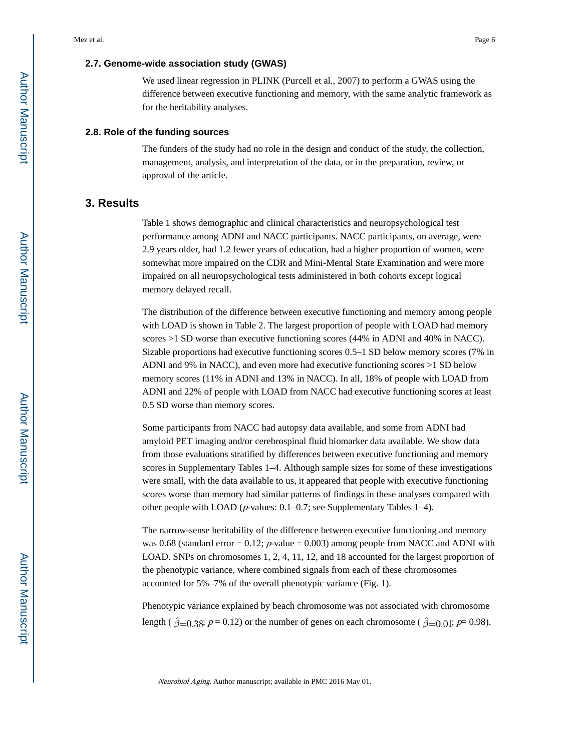#### **2.7. Genome-wide association study (GWAS)**

We used linear regression in PLINK (Purcell et al., 2007) to perform a GWAS using the difference between executive functioning and memory, with the same analytic framework as for the heritability analyses.

#### **2.8. Role of the funding sources**

The funders of the study had no role in the design and conduct of the study, the collection, management, analysis, and interpretation of the data, or in the preparation, review, or approval of the article.

# **3. Results**

Table 1 shows demographic and clinical characteristics and neuropsychological test performance among ADNI and NACC participants. NACC participants, on average, were 2.9 years older, had 1.2 fewer years of education, had a higher proportion of women, were somewhat more impaired on the CDR and Mini-Mental State Examination and were more impaired on all neuropsychological tests administered in both cohorts except logical memory delayed recall.

The distribution of the difference between executive functioning and memory among people with LOAD is shown in Table 2. The largest proportion of people with LOAD had memory scores >1 SD worse than executive functioning scores (44% in ADNI and 40% in NACC). Sizable proportions had executive functioning scores 0.5–1 SD below memory scores (7% in ADNI and 9% in NACC), and even more had executive functioning scores >1 SD below memory scores (11% in ADNI and 13% in NACC). In all, 18% of people with LOAD from ADNI and 22% of people with LOAD from NACC had executive functioning scores at least 0.5 SD worse than memory scores.

Some participants from NACC had autopsy data available, and some from ADNI had amyloid PET imaging and/or cerebrospinal fluid biomarker data available. We show data from those evaluations stratified by differences between executive functioning and memory scores in Supplementary Tables 1–4. Although sample sizes for some of these investigations were small, with the data available to us, it appeared that people with executive functioning scores worse than memory had similar patterns of findings in these analyses compared with other people with LOAD ( $p$ -values: 0.1–0.7; see Supplementary Tables 1–4).

The narrow-sense heritability of the difference between executive functioning and memory was 0.68 (standard error = 0.12;  $p$ -value = 0.003) among people from NACC and ADNI with LOAD. SNPs on chromosomes 1, 2, 4, 11, 12, and 18 accounted for the largest proportion of the phenotypic variance, where combined signals from each of these chromosomes accounted for 5%–7% of the overall phenotypic variance (Fig. 1).

Phenotypic variance explained by beach chromosome was not associated with chromosome length ( $\hat{\beta}=0.38$ ;  $p=0.12$ ) or the number of genes on each chromosome ( $\hat{\beta}=0.01$ ;  $p=0.98$ ).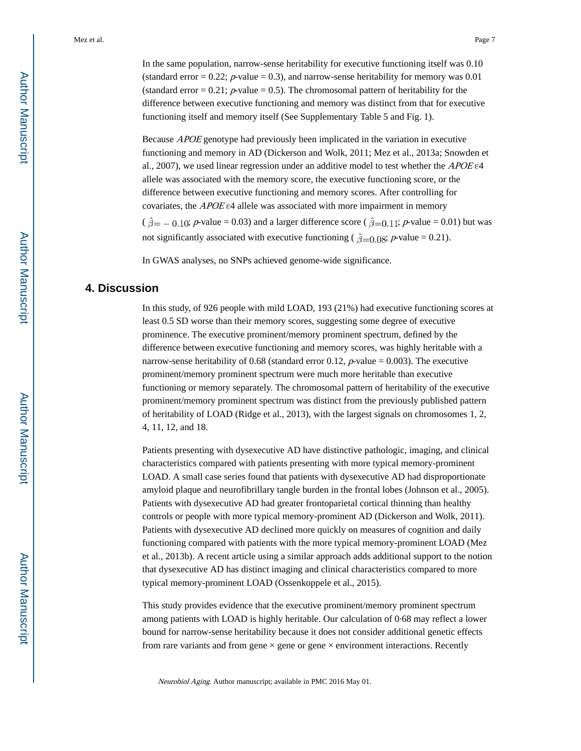In the same population, narrow-sense heritability for executive functioning itself was 0.10 (standard error =  $0.22$ ;  $p$ -value = 0.3), and narrow-sense heritability for memory was 0.01 (standard error = 0.21;  $p$ -value = 0.5). The chromosomal pattern of heritability for the difference between executive functioning and memory was distinct from that for executive functioning itself and memory itself (See Supplementary Table 5 and Fig. 1).

Because APOE genotype had previously been implicated in the variation in executive functioning and memory in AD (Dickerson and Wolk, 2011; Mez et al., 2013a; Snowden et al., 2007), we used linear regression under an additive model to test whether the  $APOE \epsilon 4$ allele was associated with the memory score, the executive functioning score, or the difference between executive functioning and memory scores. After controlling for covariates, the APOE ε4 allele was associated with more impairment in memory  $(\hat{\beta} = -0.10; \ p$ -value = 0.03) and a larger difference score  $(\hat{\beta} = 0.11; \ p$ -value = 0.01) but was not significantly associated with executive functioning ( $\hat{\beta}=0.08$ ; p-value = 0.21).

In GWAS analyses, no SNPs achieved genome-wide significance.

# **4. Discussion**

In this study, of 926 people with mild LOAD, 193 (21%) had executive functioning scores at least 0.5 SD worse than their memory scores, suggesting some degree of executive prominence. The executive prominent/memory prominent spectrum, defined by the difference between executive functioning and memory scores, was highly heritable with a narrow-sense heritability of 0.68 (standard error 0.12,  $p$ -value = 0.003). The executive prominent/memory prominent spectrum were much more heritable than executive functioning or memory separately. The chromosomal pattern of heritability of the executive prominent/memory prominent spectrum was distinct from the previously published pattern of heritability of LOAD (Ridge et al., 2013), with the largest signals on chromosomes 1, 2, 4, 11, 12, and 18.

Patients presenting with dysexecutive AD have distinctive pathologic, imaging, and clinical characteristics compared with patients presenting with more typical memory-prominent LOAD. A small case series found that patients with dysexecutive AD had disproportionate amyloid plaque and neurofibrillary tangle burden in the frontal lobes (Johnson et al., 2005). Patients with dysexecutive AD had greater frontoparietal cortical thinning than healthy controls or people with more typical memory-prominent AD (Dickerson and Wolk, 2011). Patients with dysexecutive AD declined more quickly on measures of cognition and daily functioning compared with patients with the more typical memory-prominent LOAD (Mez et al., 2013b). A recent article using a similar approach adds additional support to the notion that dysexecutive AD has distinct imaging and clinical characteristics compared to more typical memory-prominent LOAD (Ossenkoppele et al., 2015).

This study provides evidence that the executive prominent/memory prominent spectrum among patients with LOAD is highly heritable. Our calculation of 0·68 may reflect a lower bound for narrow-sense heritability because it does not consider additional genetic effects from rare variants and from gene  $\times$  gene or gene  $\times$  environment interactions. Recently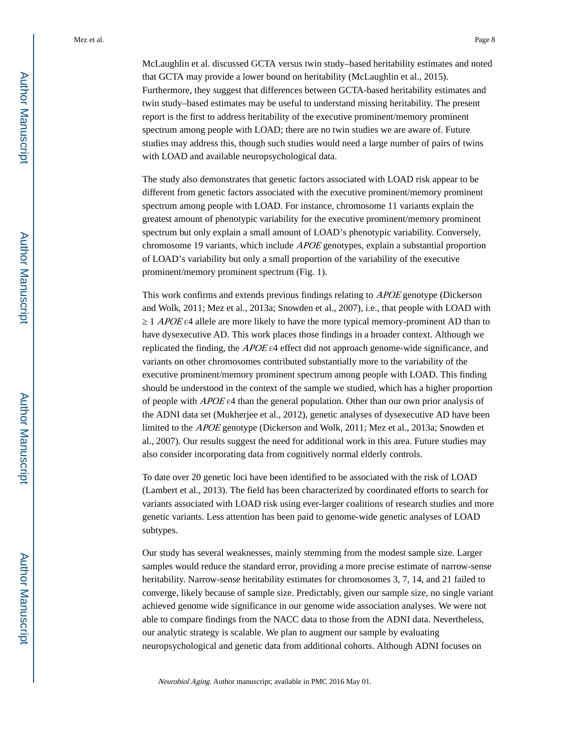McLaughlin et al. discussed GCTA versus twin study–based heritability estimates and noted that GCTA may provide a lower bound on heritability (McLaughlin et al., 2015). Furthermore, they suggest that differences between GCTA-based heritability estimates and twin study–based estimates may be useful to understand missing heritability. The present report is the first to address heritability of the executive prominent/memory prominent spectrum among people with LOAD; there are no twin studies we are aware of. Future studies may address this, though such studies would need a large number of pairs of twins with LOAD and available neuropsychological data.

The study also demonstrates that genetic factors associated with LOAD risk appear to be different from genetic factors associated with the executive prominent/memory prominent spectrum among people with LOAD. For instance, chromosome 11 variants explain the greatest amount of phenotypic variability for the executive prominent/memory prominent spectrum but only explain a small amount of LOAD's phenotypic variability. Conversely, chromosome 19 variants, which include APOE genotypes, explain a substantial proportion of LOAD's variability but only a small proportion of the variability of the executive prominent/memory prominent spectrum (Fig. 1).

This work confirms and extends previous findings relating to APOE genotype (Dickerson and Wolk, 2011; Mez et al., 2013a; Snowden et al., 2007), i.e., that people with LOAD with

1 APOE  $\epsilon$ 4 allele are more likely to have the more typical memory-prominent AD than to have dysexecutive AD. This work places those findings in a broader context. Although we replicated the finding, the  $APOE \epsilon 4$  effect did not approach genome-wide significance, and variants on other chromosomes contributed substantially more to the variability of the executive prominent/memory prominent spectrum among people with LOAD. This finding should be understood in the context of the sample we studied, which has a higher proportion of people with APOE ε4 than the general population. Other than our own prior analysis of the ADNI data set (Mukherjee et al., 2012), genetic analyses of dysexecutive AD have been limited to the APOE genotype (Dickerson and Wolk, 2011; Mez et al., 2013a; Snowden et al., 2007). Our results suggest the need for additional work in this area. Future studies may also consider incorporating data from cognitively normal elderly controls.

To date over 20 genetic loci have been identified to be associated with the risk of LOAD (Lambert et al., 2013). The field has been characterized by coordinated efforts to search for variants associated with LOAD risk using ever-larger coalitions of research studies and more genetic variants. Less attention has been paid to genome-wide genetic analyses of LOAD subtypes.

Our study has several weaknesses, mainly stemming from the modest sample size. Larger samples would reduce the standard error, providing a more precise estimate of narrow-sense heritability. Narrow-sense heritability estimates for chromosomes 3, 7, 14, and 21 failed to converge, likely because of sample size. Predictably, given our sample size, no single variant achieved genome wide significance in our genome wide association analyses. We were not able to compare findings from the NACC data to those from the ADNI data. Nevertheless, our analytic strategy is scalable. We plan to augment our sample by evaluating neuropsychological and genetic data from additional cohorts. Although ADNI focuses on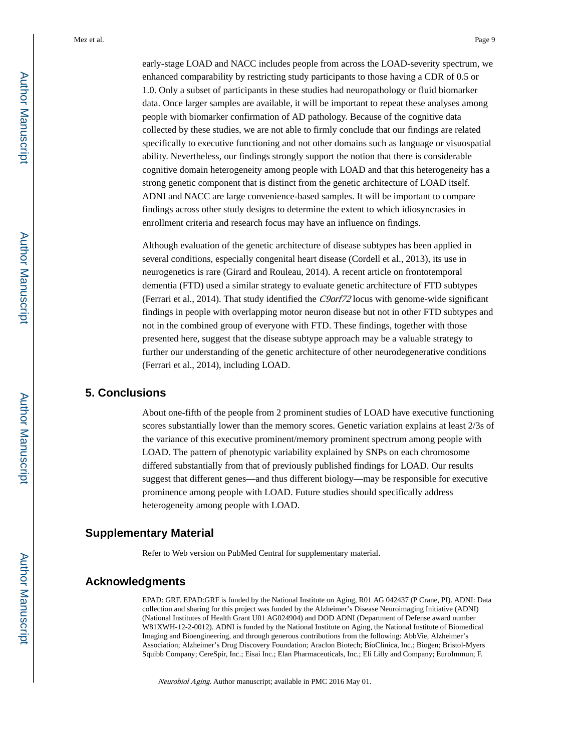early-stage LOAD and NACC includes people from across the LOAD-severity spectrum, we enhanced comparability by restricting study participants to those having a CDR of 0.5 or 1.0. Only a subset of participants in these studies had neuropathology or fluid biomarker data. Once larger samples are available, it will be important to repeat these analyses among people with biomarker confirmation of AD pathology. Because of the cognitive data collected by these studies, we are not able to firmly conclude that our findings are related specifically to executive functioning and not other domains such as language or visuospatial ability. Nevertheless, our findings strongly support the notion that there is considerable cognitive domain heterogeneity among people with LOAD and that this heterogeneity has a strong genetic component that is distinct from the genetic architecture of LOAD itself. ADNI and NACC are large convenience-based samples. It will be important to compare findings across other study designs to determine the extent to which idiosyncrasies in enrollment criteria and research focus may have an influence on findings.

Although evaluation of the genetic architecture of disease subtypes has been applied in several conditions, especially congenital heart disease (Cordell et al., 2013), its use in neurogenetics is rare (Girard and Rouleau, 2014). A recent article on frontotemporal dementia (FTD) used a similar strategy to evaluate genetic architecture of FTD subtypes (Ferrari et al., 2014). That study identified the C9orf72 locus with genome-wide significant findings in people with overlapping motor neuron disease but not in other FTD subtypes and not in the combined group of everyone with FTD. These findings, together with those presented here, suggest that the disease subtype approach may be a valuable strategy to further our understanding of the genetic architecture of other neurodegenerative conditions (Ferrari et al., 2014), including LOAD.

# **5. Conclusions**

About one-fifth of the people from 2 prominent studies of LOAD have executive functioning scores substantially lower than the memory scores. Genetic variation explains at least 2/3s of the variance of this executive prominent/memory prominent spectrum among people with LOAD. The pattern of phenotypic variability explained by SNPs on each chromosome differed substantially from that of previously published findings for LOAD. Our results suggest that different genes—and thus different biology—may be responsible for executive prominence among people with LOAD. Future studies should specifically address heterogeneity among people with LOAD.

# **Supplementary Material**

Refer to Web version on PubMed Central for supplementary material.

# **Acknowledgments**

EPAD: GRF. EPAD:GRF is funded by the National Institute on Aging, R01 AG 042437 (P Crane, PI). ADNI: Data collection and sharing for this project was funded by the Alzheimer's Disease Neuroimaging Initiative (ADNI) (National Institutes of Health Grant U01 AG024904) and DOD ADNI (Department of Defense award number W81XWH-12-2-0012). ADNI is funded by the National Institute on Aging, the National Institute of Biomedical Imaging and Bioengineering, and through generous contributions from the following: AbbVie, Alzheimer's Association; Alzheimer's Drug Discovery Foundation; Araclon Biotech; BioClinica, Inc.; Biogen; Bristol-Myers Squibb Company; CereSpir, Inc.; Eisai Inc.; Elan Pharmaceuticals, Inc.; Eli Lilly and Company; EuroImmun; F.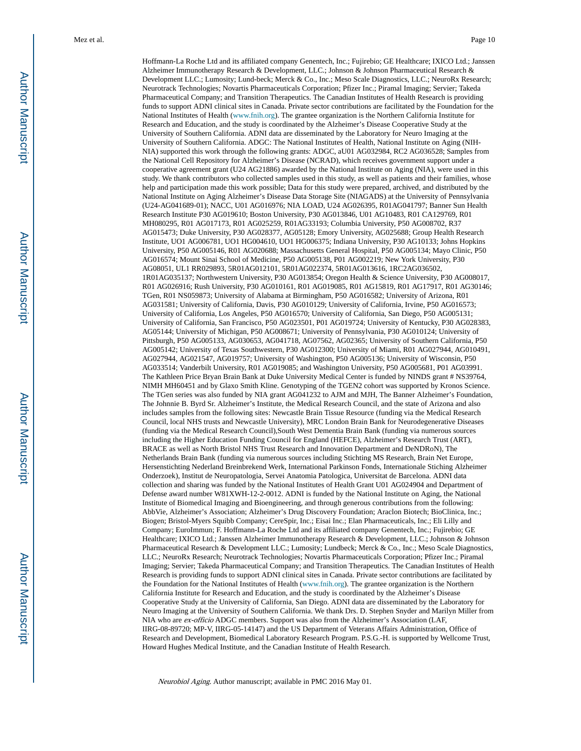Hoffmann-La Roche Ltd and its affiliated company Genentech, Inc.; Fujirebio; GE Healthcare; IXICO Ltd.; Janssen Alzheimer Immunotherapy Research & Development, LLC.; Johnson & Johnson Pharmaceutical Research & Development LLC.; Lumosity; Lund-beck; Merck & Co., Inc.; Meso Scale Diagnostics, LLC.; NeuroRx Research; Neurotrack Technologies; Novartis Pharmaceuticals Corporation; Pfizer Inc.; Piramal Imaging; Servier; Takeda Pharmaceutical Company; and Transition Therapeutics. The Canadian Institutes of Health Research is providing funds to support ADNI clinical sites in Canada. Private sector contributions are facilitated by the Foundation for the National Institutes of Health (www.fnih.org). The grantee organization is the Northern California Institute for Research and Education, and the study is coordinated by the Alzheimer's Disease Cooperative Study at the University of Southern California. ADNI data are disseminated by the Laboratory for Neuro Imaging at the University of Southern California. ADGC: The National Institutes of Health, National Institute on Aging (NIH-NIA) supported this work through the following grants: ADGC, aU01 AG032984, RC2 AG036528; Samples from the National Cell Repository for Alzheimer's Disease (NCRAD), which receives government support under a cooperative agreement grant (U24 AG21886) awarded by the National Institute on Aging (NIA), were used in this study. We thank contributors who collected samples used in this study, as well as patients and their families, whose help and participation made this work possible; Data for this study were prepared, archived, and distributed by the National Institute on Aging Alzheimer's Disease Data Storage Site (NIAGADS) at the University of Pennsylvania (U24-AG041689-01); NACC, U01 AG016976; NIA LOAD, U24 AG026395, R01AG041797; Banner Sun Health Research Institute P30 AG019610; Boston University, P30 AG013846, U01 AG10483, R01 CA129769, R01 MH080295, R01 AG017173, R01 AG025259, R01AG33193; Columbia University, P50 AG008702, R37 AG015473; Duke University, P30 AG028377, AG05128; Emory University, AG025688; Group Health Research Institute, UO1 AG006781, UO1 HG004610, UO1 HG006375; Indiana University, P30 AG10133; Johns Hopkins University, P50 AG005146, R01 AG020688; Massachusetts General Hospital, P50 AG005134; Mayo Clinic, P50 AG016574; Mount Sinai School of Medicine, P50 AG005138, P01 AG002219; New York University, P30 AG08051, UL1 RR029893, 5R01AG012101, 5R01AG022374, 5R01AG013616, 1RC2AG036502, 1R01AG035137; Northwestern University, P30 AG013854; Oregon Health & Science University, P30 AG008017, R01 AG026916; Rush University, P30 AG010161, R01 AG019085, R01 AG15819, R01 AG17917, R01 AG30146; TGen, R01 NS059873; University of Alabama at Birmingham, P50 AG016582; University of Arizona, R01 AG031581; University of California, Davis, P30 AG010129; University of California, Irvine, P50 AG016573; University of California, Los Angeles, P50 AG016570; University of California, San Diego, P50 AG005131; University of California, San Francisco, P50 AG023501, P01 AG019724; University of Kentucky, P30 AG028383, AG05144; University of Michigan, P50 AG008671; University of Pennsylvania, P30 AG010124; University of Pittsburgh, P50 AG005133, AG030653, AG041718, AG07562, AG02365; University of Southern California, P50 AG005142; University of Texas Southwestern, P30 AG012300; University of Miami, R01 AG027944, AG010491, AG027944, AG021547, AG019757; University of Washington, P50 AG005136; University of Wisconsin, P50 AG033514; Vanderbilt University, R01 AG019085; and Washington University, P50 AG005681, P01 AG03991. The Kathleen Price Bryan Brain Bank at Duke University Medical Center is funded by NINDS grant # NS39764, NIMH MH60451 and by Glaxo Smith Kline. Genotyping of the TGEN2 cohort was supported by Kronos Science. The TGen series was also funded by NIA grant AG041232 to AJM and MJH, The Banner Alzheimer's Foundation, The Johnnie B. Byrd Sr. Alzheimer's Institute, the Medical Research Council, and the state of Arizona and also includes samples from the following sites: Newcastle Brain Tissue Resource (funding via the Medical Research Council, local NHS trusts and Newcastle University), MRC London Brain Bank for Neurodegenerative Diseases (funding via the Medical Research Council),South West Dementia Brain Bank (funding via numerous sources including the Higher Education Funding Council for England (HEFCE), Alzheimer's Research Trust (ART), BRACE as well as North Bristol NHS Trust Research and Innovation Department and DeNDRoN), The Netherlands Brain Bank (funding via numerous sources including Stichting MS Research, Brain Net Europe, Hersenstichting Nederland Breinbrekend Werk, International Parkinson Fonds, Internationale Stiching Alzheimer Onderzoek), Institut de Neuropatologia, Servei Anatomia Patologica, Universitat de Barcelona. ADNI data collection and sharing was funded by the National Institutes of Health Grant U01 AG024904 and Department of Defense award number W81XWH-12-2-0012. ADNI is funded by the National Institute on Aging, the National Institute of Biomedical Imaging and Bioengineering, and through generous contributions from the following: AbbVie, Alzheimer's Association; Alzheimer's Drug Discovery Foundation; Araclon Biotech; BioClinica, Inc.; Biogen; Bristol-Myers Squibb Company; CereSpir, Inc.; Eisai Inc.; Elan Pharmaceuticals, Inc.; Eli Lilly and Company; EuroImmun; F. Hoffmann-La Roche Ltd and its affiliated company Genentech, Inc.; Fujirebio; GE Healthcare; IXICO Ltd.; Janssen Alzheimer Immunotherapy Research & Development, LLC.; Johnson & Johnson Pharmaceutical Research & Development LLC.; Lumosity; Lundbeck; Merck & Co., Inc.; Meso Scale Diagnostics, LLC.; NeuroRx Research; Neurotrack Technologies; Novartis Pharmaceuticals Corporation; Pfizer Inc.; Piramal Imaging; Servier; Takeda Pharmaceutical Company; and Transition Therapeutics. The Canadian Institutes of Health Research is providing funds to support ADNI clinical sites in Canada. Private sector contributions are facilitated by the Foundation for the National Institutes of Health (www.fnih.org). The grantee organization is the Northern California Institute for Research and Education, and the study is coordinated by the Alzheimer's Disease Cooperative Study at the University of California, San Diego. ADNI data are disseminated by the Laboratory for Neuro Imaging at the University of Southern California. We thank Drs. D. Stephen Snyder and Marilyn Miller from NIA who are ex-officio ADGC members. Support was also from the Alzheimer's Association (LAF, IIRG-08-89720; MP-V, IIRG-05-14147) and the US Department of Veterans Affairs Administration, Office of Research and Development, Biomedical Laboratory Research Program. P.S.G.-H. is supported by Wellcome Trust, Howard Hughes Medical Institute, and the Canadian Institute of Health Research.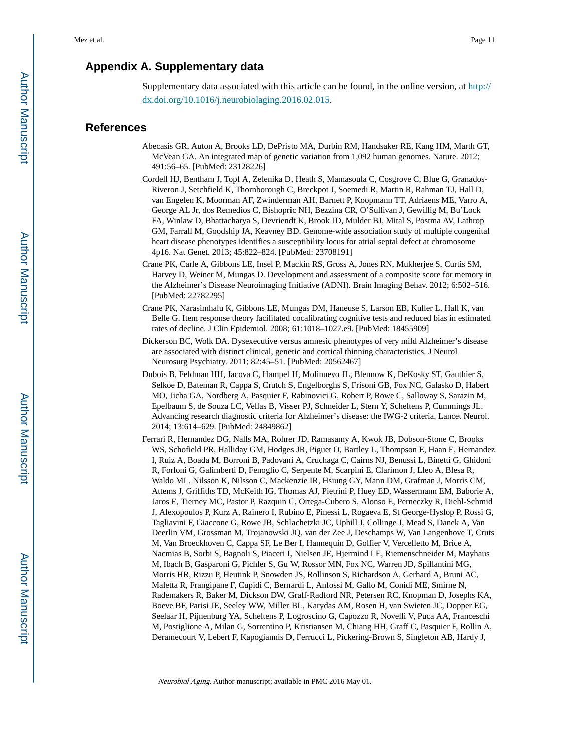# **Appendix A. Supplementary data**

Supplementary data associated with this article can be found, in the online version, at [http://](http://dx.doi.org/10.1016/j.neurobiolaging.2016.02.015) [dx.doi.org/10.1016/j.neurobiolaging.2016.02.015](http://dx.doi.org/10.1016/j.neurobiolaging.2016.02.015).

#### **References**

- Abecasis GR, Auton A, Brooks LD, DePristo MA, Durbin RM, Handsaker RE, Kang HM, Marth GT, McVean GA. An integrated map of genetic variation from 1,092 human genomes. Nature. 2012; 491:56–65. [PubMed: 23128226]
- Cordell HJ, Bentham J, Topf A, Zelenika D, Heath S, Mamasoula C, Cosgrove C, Blue G, Granados-Riveron J, Setchfield K, Thornborough C, Breckpot J, Soemedi R, Martin R, Rahman TJ, Hall D, van Engelen K, Moorman AF, Zwinderman AH, Barnett P, Koopmann TT, Adriaens ME, Varro A, George AL Jr, dos Remedios C, Bishopric NH, Bezzina CR, O'Sullivan J, Gewillig M, Bu'Lock FA, Winlaw D, Bhattacharya S, Devriendt K, Brook JD, Mulder BJ, Mital S, Postma AV, Lathrop GM, Farrall M, Goodship JA, Keavney BD. Genome-wide association study of multiple congenital heart disease phenotypes identifies a susceptibility locus for atrial septal defect at chromosome 4p16. Nat Genet. 2013; 45:822–824. [PubMed: 23708191]
- Crane PK, Carle A, Gibbons LE, Insel P, Mackin RS, Gross A, Jones RN, Mukherjee S, Curtis SM, Harvey D, Weiner M, Mungas D. Development and assessment of a composite score for memory in the Alzheimer's Disease Neuroimaging Initiative (ADNI). Brain Imaging Behav. 2012; 6:502–516. [PubMed: 22782295]
- Crane PK, Narasimhalu K, Gibbons LE, Mungas DM, Haneuse S, Larson EB, Kuller L, Hall K, van Belle G. Item response theory facilitated cocalibrating cognitive tests and reduced bias in estimated rates of decline. J Clin Epidemiol. 2008; 61:1018–1027.e9. [PubMed: 18455909]
- Dickerson BC, Wolk DA. Dysexecutive versus amnesic phenotypes of very mild Alzheimer's disease are associated with distinct clinical, genetic and cortical thinning characteristics. J Neurol Neurosurg Psychiatry. 2011; 82:45–51. [PubMed: 20562467]
- Dubois B, Feldman HH, Jacova C, Hampel H, Molinuevo JL, Blennow K, DeKosky ST, Gauthier S, Selkoe D, Bateman R, Cappa S, Crutch S, Engelborghs S, Frisoni GB, Fox NC, Galasko D, Habert MO, Jicha GA, Nordberg A, Pasquier F, Rabinovici G, Robert P, Rowe C, Salloway S, Sarazin M, Epelbaum S, de Souza LC, Vellas B, Visser PJ, Schneider L, Stern Y, Scheltens P, Cummings JL. Advancing research diagnostic criteria for Alzheimer's disease: the IWG-2 criteria. Lancet Neurol. 2014; 13:614–629. [PubMed: 24849862]
- Ferrari R, Hernandez DG, Nalls MA, Rohrer JD, Ramasamy A, Kwok JB, Dobson-Stone C, Brooks WS, Schofield PR, Halliday GM, Hodges JR, Piguet O, Bartley L, Thompson E, Haan E, Hernandez I, Ruiz A, Boada M, Borroni B, Padovani A, Cruchaga C, Cairns NJ, Benussi L, Binetti G, Ghidoni R, Forloni G, Galimberti D, Fenoglio C, Serpente M, Scarpini E, Clarimon J, Lleo A, Blesa R, Waldo ML, Nilsson K, Nilsson C, Mackenzie IR, Hsiung GY, Mann DM, Grafman J, Morris CM, Attems J, Griffiths TD, McKeith IG, Thomas AJ, Pietrini P, Huey ED, Wassermann EM, Baborie A, Jaros E, Tierney MC, Pastor P, Razquin C, Ortega-Cubero S, Alonso E, Perneczky R, Diehl-Schmid J, Alexopoulos P, Kurz A, Rainero I, Rubino E, Pinessi L, Rogaeva E, St George-Hyslop P, Rossi G, Tagliavini F, Giaccone G, Rowe JB, Schlachetzki JC, Uphill J, Collinge J, Mead S, Danek A, Van Deerlin VM, Grossman M, Trojanowski JQ, van der Zee J, Deschamps W, Van Langenhove T, Cruts M, Van Broeckhoven C, Cappa SF, Le Ber I, Hannequin D, Golfier V, Vercelletto M, Brice A, Nacmias B, Sorbi S, Bagnoli S, Piaceri I, Nielsen JE, Hjermind LE, Riemenschneider M, Mayhaus M, Ibach B, Gasparoni G, Pichler S, Gu W, Rossor MN, Fox NC, Warren JD, Spillantini MG, Morris HR, Rizzu P, Heutink P, Snowden JS, Rollinson S, Richardson A, Gerhard A, Bruni AC, Maletta R, Frangipane F, Cupidi C, Bernardi L, Anfossi M, Gallo M, Conidi ME, Smirne N, Rademakers R, Baker M, Dickson DW, Graff-Radford NR, Petersen RC, Knopman D, Josephs KA, Boeve BF, Parisi JE, Seeley WW, Miller BL, Karydas AM, Rosen H, van Swieten JC, Dopper EG, Seelaar H, Pijnenburg YA, Scheltens P, Logroscino G, Capozzo R, Novelli V, Puca AA, Franceschi M, Postiglione A, Milan G, Sorrentino P, Kristiansen M, Chiang HH, Graff C, Pasquier F, Rollin A, Deramecourt V, Lebert F, Kapogiannis D, Ferrucci L, Pickering-Brown S, Singleton AB, Hardy J,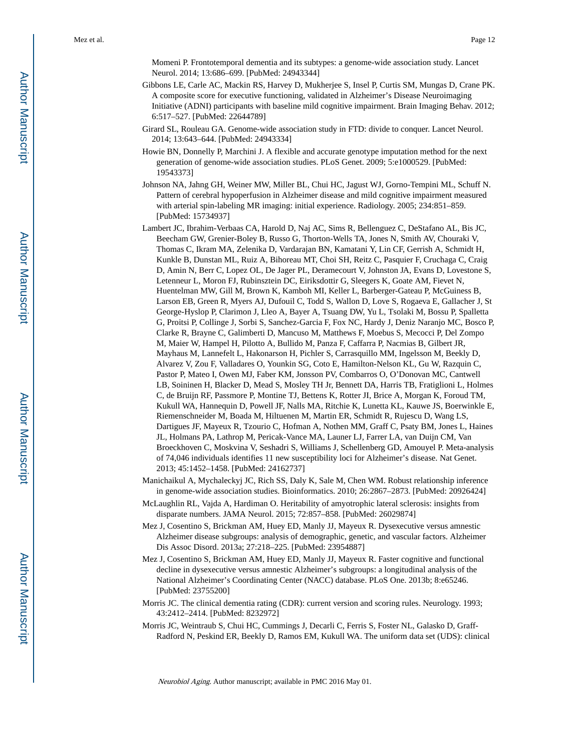Momeni P. Frontotemporal dementia and its subtypes: a genome-wide association study. Lancet Neurol. 2014; 13:686–699. [PubMed: 24943344]

- Gibbons LE, Carle AC, Mackin RS, Harvey D, Mukherjee S, Insel P, Curtis SM, Mungas D, Crane PK. A composite score for executive functioning, validated in Alzheimer's Disease Neuroimaging Initiative (ADNI) participants with baseline mild cognitive impairment. Brain Imaging Behav. 2012; 6:517–527. [PubMed: 22644789]
- Girard SL, Rouleau GA. Genome-wide association study in FTD: divide to conquer. Lancet Neurol. 2014; 13:643–644. [PubMed: 24943334]
- Howie BN, Donnelly P, Marchini J. A flexible and accurate genotype imputation method for the next generation of genome-wide association studies. PLoS Genet. 2009; 5:e1000529. [PubMed: 19543373]
- Johnson NA, Jahng GH, Weiner MW, Miller BL, Chui HC, Jagust WJ, Gorno-Tempini ML, Schuff N. Pattern of cerebral hypoperfusion in Alzheimer disease and mild cognitive impairment measured with arterial spin-labeling MR imaging: initial experience. Radiology. 2005; 234:851–859. [PubMed: 15734937]
- Lambert JC, Ibrahim-Verbaas CA, Harold D, Naj AC, Sims R, Bellenguez C, DeStafano AL, Bis JC, Beecham GW, Grenier-Boley B, Russo G, Thorton-Wells TA, Jones N, Smith AV, Chouraki V, Thomas C, Ikram MA, Zelenika D, Vardarajan BN, Kamatani Y, Lin CF, Gerrish A, Schmidt H, Kunkle B, Dunstan ML, Ruiz A, Bihoreau MT, Choi SH, Reitz C, Pasquier F, Cruchaga C, Craig D, Amin N, Berr C, Lopez OL, De Jager PL, Deramecourt V, Johnston JA, Evans D, Lovestone S, Letenneur L, Moron FJ, Rubinsztein DC, Eiriksdottir G, Sleegers K, Goate AM, Fievet N, Huentelman MW, Gill M, Brown K, Kamboh MI, Keller L, Barberger-Gateau P, McGuiness B, Larson EB, Green R, Myers AJ, Dufouil C, Todd S, Wallon D, Love S, Rogaeva E, Gallacher J, St George-Hyslop P, Clarimon J, Lleo A, Bayer A, Tsuang DW, Yu L, Tsolaki M, Bossu P, Spalletta G, Proitsi P, Collinge J, Sorbi S, Sanchez-Garcia F, Fox NC, Hardy J, Deniz Naranjo MC, Bosco P, Clarke R, Brayne C, Galimberti D, Mancuso M, Matthews F, Moebus S, Mecocci P, Del Zompo M, Maier W, Hampel H, Pilotto A, Bullido M, Panza F, Caffarra P, Nacmias B, Gilbert JR, Mayhaus M, Lannefelt L, Hakonarson H, Pichler S, Carrasquillo MM, Ingelsson M, Beekly D, Alvarez V, Zou F, Valladares O, Younkin SG, Coto E, Hamilton-Nelson KL, Gu W, Razquin C, Pastor P, Mateo I, Owen MJ, Faber KM, Jonsson PV, Combarros O, O'Donovan MC, Cantwell LB, Soininen H, Blacker D, Mead S, Mosley TH Jr, Bennett DA, Harris TB, Fratiglioni L, Holmes C, de Bruijn RF, Passmore P, Montine TJ, Bettens K, Rotter JI, Brice A, Morgan K, Foroud TM, Kukull WA, Hannequin D, Powell JF, Nalls MA, Ritchie K, Lunetta KL, Kauwe JS, Boerwinkle E, Riemenschneider M, Boada M, Hiltuenen M, Martin ER, Schmidt R, Rujescu D, Wang LS, Dartigues JF, Mayeux R, Tzourio C, Hofman A, Nothen MM, Graff C, Psaty BM, Jones L, Haines JL, Holmans PA, Lathrop M, Pericak-Vance MA, Launer LJ, Farrer LA, van Duijn CM, Van Broeckhoven C, Moskvina V, Seshadri S, Williams J, Schellenberg GD, Amouyel P. Meta-analysis of 74,046 individuals identifies 11 new susceptibility loci for Alzheimer's disease. Nat Genet. 2013; 45:1452–1458. [PubMed: 24162737]
- Manichaikul A, Mychaleckyj JC, Rich SS, Daly K, Sale M, Chen WM. Robust relationship inference in genome-wide association studies. Bioinformatics. 2010; 26:2867–2873. [PubMed: 20926424]
- McLaughlin RL, Vajda A, Hardiman O. Heritability of amyotrophic lateral sclerosis: insights from disparate numbers. JAMA Neurol. 2015; 72:857–858. [PubMed: 26029874]
- Mez J, Cosentino S, Brickman AM, Huey ED, Manly JJ, Mayeux R. Dysexecutive versus amnestic Alzheimer disease subgroups: analysis of demographic, genetic, and vascular factors. Alzheimer Dis Assoc Disord. 2013a; 27:218–225. [PubMed: 23954887]
- Mez J, Cosentino S, Brickman AM, Huey ED, Manly JJ, Mayeux R. Faster cognitive and functional decline in dysexecutive versus amnestic Alzheimer's subgroups: a longitudinal analysis of the National Alzheimer's Coordinating Center (NACC) database. PLoS One. 2013b; 8:e65246. [PubMed: 23755200]
- Morris JC. The clinical dementia rating (CDR): current version and scoring rules. Neurology. 1993; 43:2412–2414. [PubMed: 8232972]
- Morris JC, Weintraub S, Chui HC, Cummings J, Decarli C, Ferris S, Foster NL, Galasko D, Graff-Radford N, Peskind ER, Beekly D, Ramos EM, Kukull WA. The uniform data set (UDS): clinical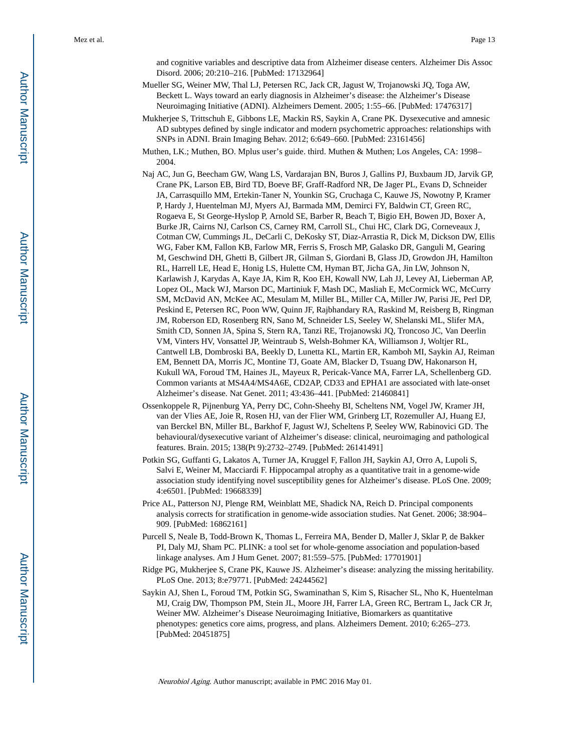and cognitive variables and descriptive data from Alzheimer disease centers. Alzheimer Dis Assoc Disord. 2006; 20:210–216. [PubMed: 17132964]

- Mueller SG, Weiner MW, Thal LJ, Petersen RC, Jack CR, Jagust W, Trojanowski JQ, Toga AW, Beckett L. Ways toward an early diagnosis in Alzheimer's disease: the Alzheimer's Disease Neuroimaging Initiative (ADNI). Alzheimers Dement. 2005; 1:55–66. [PubMed: 17476317]
- Mukherjee S, Trittschuh E, Gibbons LE, Mackin RS, Saykin A, Crane PK. Dysexecutive and amnesic AD subtypes defined by single indicator and modern psychometric approaches: relationships with SNPs in ADNI. Brain Imaging Behav. 2012; 6:649–660. [PubMed: 23161456]
- Muthen, LK.; Muthen, BO. Mplus user's guide. third. Muthen & Muthen; Los Angeles, CA: 1998– 2004.
- Naj AC, Jun G, Beecham GW, Wang LS, Vardarajan BN, Buros J, Gallins PJ, Buxbaum JD, Jarvik GP, Crane PK, Larson EB, Bird TD, Boeve BF, Graff-Radford NR, De Jager PL, Evans D, Schneider JA, Carrasquillo MM, Ertekin-Taner N, Younkin SG, Cruchaga C, Kauwe JS, Nowotny P, Kramer P, Hardy J, Huentelman MJ, Myers AJ, Barmada MM, Demirci FY, Baldwin CT, Green RC, Rogaeva E, St George-Hyslop P, Arnold SE, Barber R, Beach T, Bigio EH, Bowen JD, Boxer A, Burke JR, Cairns NJ, Carlson CS, Carney RM, Carroll SL, Chui HC, Clark DG, Corneveaux J, Cotman CW, Cummings JL, DeCarli C, DeKosky ST, Diaz-Arrastia R, Dick M, Dickson DW, Ellis WG, Faber KM, Fallon KB, Farlow MR, Ferris S, Frosch MP, Galasko DR, Ganguli M, Gearing M, Geschwind DH, Ghetti B, Gilbert JR, Gilman S, Giordani B, Glass JD, Growdon JH, Hamilton RL, Harrell LE, Head E, Honig LS, Hulette CM, Hyman BT, Jicha GA, Jin LW, Johnson N, Karlawish J, Karydas A, Kaye JA, Kim R, Koo EH, Kowall NW, Lah JJ, Levey AI, Lieberman AP, Lopez OL, Mack WJ, Marson DC, Martiniuk F, Mash DC, Masliah E, McCormick WC, McCurry SM, McDavid AN, McKee AC, Mesulam M, Miller BL, Miller CA, Miller JW, Parisi JE, Perl DP, Peskind E, Petersen RC, Poon WW, Quinn JF, Rajbhandary RA, Raskind M, Reisberg B, Ringman JM, Roberson ED, Rosenberg RN, Sano M, Schneider LS, Seeley W, Shelanski ML, Slifer MA, Smith CD, Sonnen JA, Spina S, Stern RA, Tanzi RE, Trojanowski JQ, Troncoso JC, Van Deerlin VM, Vinters HV, Vonsattel JP, Weintraub S, Welsh-Bohmer KA, Williamson J, Woltjer RL, Cantwell LB, Dombroski BA, Beekly D, Lunetta KL, Martin ER, Kamboh MI, Saykin AJ, Reiman EM, Bennett DA, Morris JC, Montine TJ, Goate AM, Blacker D, Tsuang DW, Hakonarson H, Kukull WA, Foroud TM, Haines JL, Mayeux R, Pericak-Vance MA, Farrer LA, Schellenberg GD. Common variants at MS4A4/MS4A6E, CD2AP, CD33 and EPHA1 are associated with late-onset Alzheimer's disease. Nat Genet. 2011; 43:436–441. [PubMed: 21460841]
- Ossenkoppele R, Pijnenburg YA, Perry DC, Cohn-Sheehy BI, Scheltens NM, Vogel JW, Kramer JH, van der Vlies AE, Joie R, Rosen HJ, van der Flier WM, Grinberg LT, Rozemuller AJ, Huang EJ, van Berckel BN, Miller BL, Barkhof F, Jagust WJ, Scheltens P, Seeley WW, Rabinovici GD. The behavioural/dysexecutive variant of Alzheimer's disease: clinical, neuroimaging and pathological features. Brain. 2015; 138(Pt 9):2732–2749. [PubMed: 26141491]
- Potkin SG, Guffanti G, Lakatos A, Turner JA, Kruggel F, Fallon JH, Saykin AJ, Orro A, Lupoli S, Salvi E, Weiner M, Macciardi F. Hippocampal atrophy as a quantitative trait in a genome-wide association study identifying novel susceptibility genes for Alzheimer's disease. PLoS One. 2009; 4:e6501. [PubMed: 19668339]
- Price AL, Patterson NJ, Plenge RM, Weinblatt ME, Shadick NA, Reich D. Principal components analysis corrects for stratification in genome-wide association studies. Nat Genet. 2006; 38:904– 909. [PubMed: 16862161]
- Purcell S, Neale B, Todd-Brown K, Thomas L, Ferreira MA, Bender D, Maller J, Sklar P, de Bakker PI, Daly MJ, Sham PC. PLINK: a tool set for whole-genome association and population-based linkage analyses. Am J Hum Genet. 2007; 81:559–575. [PubMed: 17701901]
- Ridge PG, Mukherjee S, Crane PK, Kauwe JS. Alzheimer's disease: analyzing the missing heritability. PLoS One. 2013; 8:e79771. [PubMed: 24244562]
- Saykin AJ, Shen L, Foroud TM, Potkin SG, Swaminathan S, Kim S, Risacher SL, Nho K, Huentelman MJ, Craig DW, Thompson PM, Stein JL, Moore JH, Farrer LA, Green RC, Bertram L, Jack CR Jr, Weiner MW. Alzheimer's Disease Neuroimaging Initiative, Biomarkers as quantitative phenotypes: genetics core aims, progress, and plans. Alzheimers Dement. 2010; 6:265–273. [PubMed: 20451875]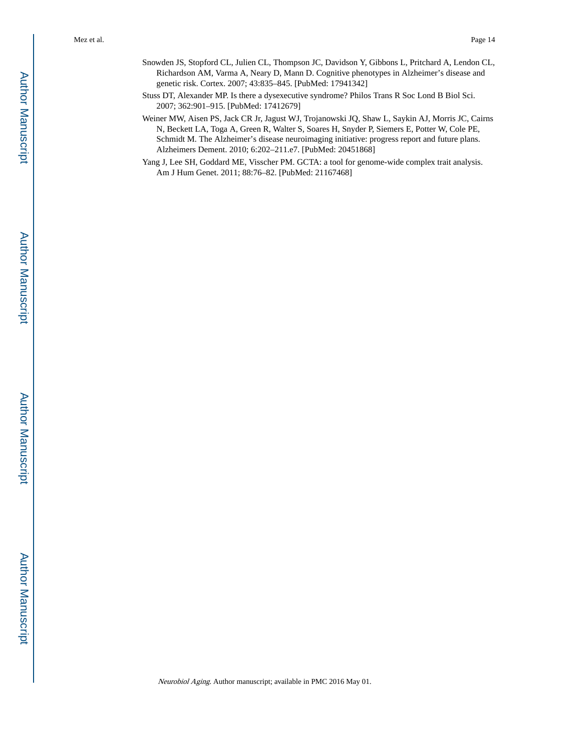- Snowden JS, Stopford CL, Julien CL, Thompson JC, Davidson Y, Gibbons L, Pritchard A, Lendon CL, Richardson AM, Varma A, Neary D, Mann D. Cognitive phenotypes in Alzheimer's disease and genetic risk. Cortex. 2007; 43:835–845. [PubMed: 17941342]
- Stuss DT, Alexander MP. Is there a dysexecutive syndrome? Philos Trans R Soc Lond B Biol Sci. 2007; 362:901–915. [PubMed: 17412679]
- Weiner MW, Aisen PS, Jack CR Jr, Jagust WJ, Trojanowski JQ, Shaw L, Saykin AJ, Morris JC, Cairns N, Beckett LA, Toga A, Green R, Walter S, Soares H, Snyder P, Siemers E, Potter W, Cole PE, Schmidt M. The Alzheimer's disease neuroimaging initiative: progress report and future plans. Alzheimers Dement. 2010; 6:202–211.e7. [PubMed: 20451868]
- Yang J, Lee SH, Goddard ME, Visscher PM. GCTA: a tool for genome-wide complex trait analysis. Am J Hum Genet. 2011; 88:76–82. [PubMed: 21167468]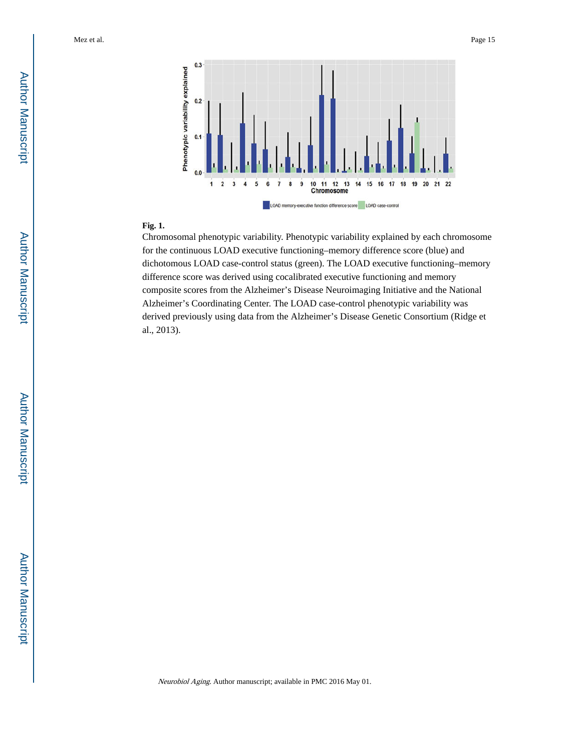

## **Fig. 1.**

Chromosomal phenotypic variability. Phenotypic variability explained by each chromosome for the continuous LOAD executive functioning–memory difference score (blue) and dichotomous LOAD case-control status (green). The LOAD executive functioning–memory difference score was derived using cocalibrated executive functioning and memory composite scores from the Alzheimer's Disease Neuroimaging Initiative and the National Alzheimer's Coordinating Center. The LOAD case-control phenotypic variability was derived previously using data from the Alzheimer's Disease Genetic Consortium (Ridge et al., 2013).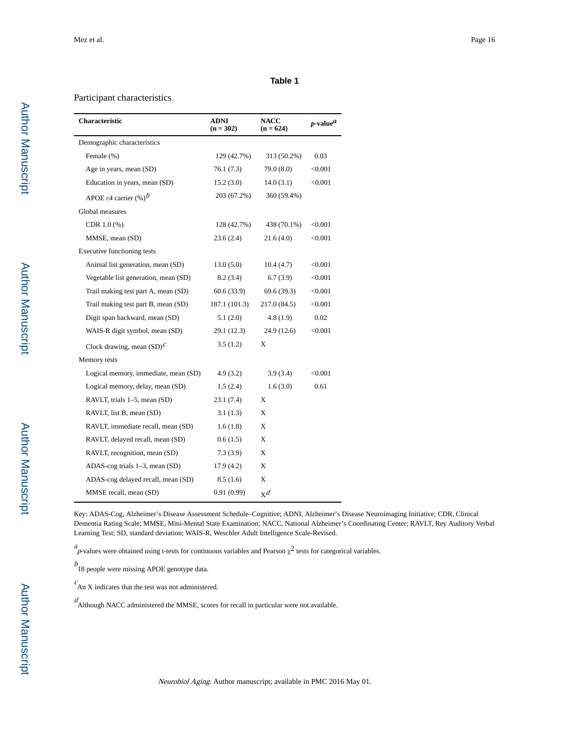#### **Table 1**

#### Participant characteristics

| <b>Characteristic</b>                            | <b>ADNI</b><br>$(n = 302)$ | <b>NACC</b><br>$(n = 624)$ | $p$ -value $^a$ |
|--------------------------------------------------|----------------------------|----------------------------|-----------------|
| Demographic characteristics                      |                            |                            |                 |
| Female (%)                                       | 129 (42.7%)                | 313 (50.2%)                | 0.03            |
| Age in years, mean (SD)                          | 76.1 (7.3)                 | 79.0 (8.0)                 | < 0.001         |
| Education in years, mean (SD)                    | 15.2(3.0)                  | 14.0(3.1)                  | < 0.001         |
| APOE $\varepsilon$ 4 carrier $(\%)$ <sup>b</sup> | 203 (67.2%)                | 360 (59.4%)                |                 |
| Global measures                                  |                            |                            |                 |
| CDR $1.0\,(%$                                    | 128 (42.7%)                | 438 (70.1%)                | < 0.001         |
| MMSE, mean (SD)                                  | 23.6(2.4)                  | 21.6(4.0)                  | < 0.001         |
| Executive functioning tests                      |                            |                            |                 |
| Animal list generation, mean (SD)                | 13.0(5.0)                  | 10.4(4.7)                  | < 0.001         |
| Vegetable list generation, mean (SD)             | 8.2(3.4)                   | 6.7(3.9)                   | < 0.001         |
| Trail making test part A, mean (SD)              | 60.6(33.9)                 | 69.6 (39.3)                | < 0.001         |
| Trail making test part B, mean (SD)              | 187.1 (101.3)              | 217.0 (84.5)               | < 0.001         |
| Digit span backward, mean (SD)                   | 5.1(2.0)                   | 4.8(1.9)                   | 0.02            |
| WAIS-R digit symbol, mean (SD)                   | 29.1 (12.3)                | 24.9 (12.6)                | < 0.001         |
| Clock drawing, mean $(SD)^{c}$                   | 3.5(1.2)                   | X                          |                 |
| Memory tests                                     |                            |                            |                 |
| Logical memory, immediate, mean (SD)             | 4.9(3.2)                   | 3.9(3.4)                   | < 0.001         |
| Logical memory, delay, mean (SD)                 | 1.5(2.4)                   | 1.6(3.0)                   | 0.61            |
| RAVLT, trials 1-5, mean (SD)                     | 23.1(7.4)                  | X                          |                 |
| RAVLT, list B, mean (SD)                         | 3.1(1.3)                   | X                          |                 |
| RAVLT, immediate recall, mean (SD)               | 1.6(1.8)                   | X                          |                 |
| RAVLT, delayed recall, mean (SD)                 | 0.6(1.5)                   | X                          |                 |
| RAVLT, recognition, mean (SD)                    | 7.3(3.9)                   | X                          |                 |
| ADAS-cog trials $1-3$ , mean (SD)                | 17.9 (4.2)                 | X                          |                 |
| ADAS-cog delayed recall, mean (SD)               | 8.5(1.6)                   | X                          |                 |
| MMSE recall, mean (SD)                           | 0.91(0.99)                 | $X^d$                      |                 |

Key: ADAS-Cog, Alzheimer's Disease Assessment Schedule–Cognitive; ADNI, Alzheimer's Disease Neuroimaging Initiative; CDR, Clinical Dementia Rating Scale; MMSE, Mini-Mental State Examination; NACC, National Alzheimer's Coordinating Center; RAVLT, Rey Auditory Verbal Learning Test; SD, standard deviation; WAIS-R, Weschler Adult Intelligence Scale-Revised.

 $^a_P$ -values were obtained using t-tests for continuous variables and Pearson  $\chi^2$  tests for categorical variables.

b<br>18 people were missing APOE genotype data.

 $c<sub>An</sub>$  X indicates that the test was not administered.

 $d$ <br>Although NACC administered the MMSE, scores for recall in particular were not available.